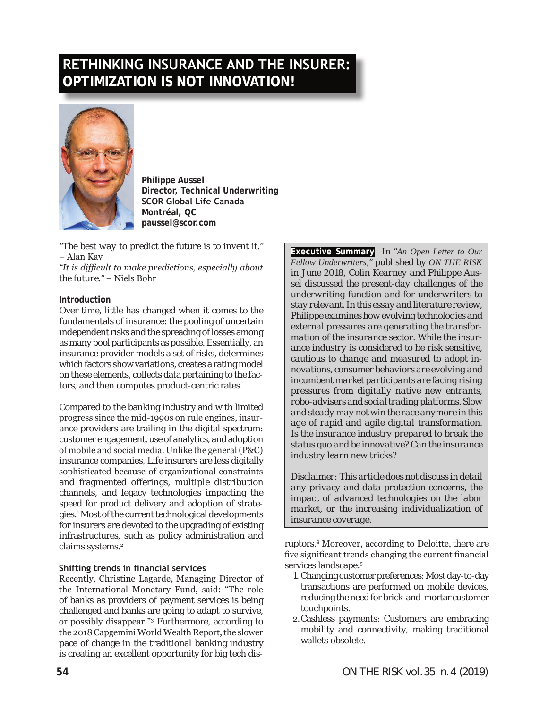# **RETHINKING INSURANCE AND THE INSURER: OPTIMIZATION IS NOT INNOVATION!**



**Philippe Aussel Director, Technical Underwriting SCOR Global Life Canada Montréal, QC paussel@scor.com**

*"The best way to predict the future is to invent it."*  – Alan Kay

*"It is difficult to make predictions, especially about the future."* – Niels Bohr

#### **Introduction**

Over time, little has changed when it comes to the fundamentals of insurance: the pooling of uncertain independent risks and the spreading of losses among as many pool participants as possible. Essentially, an insurance provider models a set of risks, determines which factors show variations, creates a rating model on these elements, collects data pertaining to the factors, and then computes product-centric rates.

Compared to the banking industry and with limited progress since the mid-1990s on rule engines, insurance providers are trailing in the digital spectrum: customer engagement, use of analytics, and adoption of mobile and social media. Unlike the general (P&C) insurance companies, Life insurers are less digitally sophisticated because of organizational constraints and fragmented offerings, multiple distribution channels, and legacy technologies impacting the speed for product delivery and adoption of strategies.1 Most of the current technological developments for insurers are devoted to the upgrading of existing infrastructures, such as policy administration and claims systems.<sup>2</sup>

#### **Shifting trends in financial services**

Recently, Christine Lagarde, Managing Director of the International Monetary Fund, said: "The role of banks as providers of payment services is being challenged and banks are going to adapt to survive, or possibly disappear."3 Furthermore, according to the 2018 Capgemini World Wealth Report, the slower pace of change in the traditional banking industry is creating an excellent opportunity for big tech dis**Executive Summary** *In "An Open Letter to Our Fellow Underwriters," published by ON THE RISK in June 2018, Colin Kearney and Philippe Aussel discussed the present-day challenges of the underwriting function and for underwriters to stay relevant. In this essay and literature review, Philippe examines how evolving technologies and external pressures are generating the transformation of the insurance sector. While the insurance industry is considered to be risk sensitive, cautious to change and measured to adopt innovations, consumer behaviors are evolving and incumbent market participants are facing rising pressures from digitally native new entrants, robo-advisers and social trading platforms. Slow and steady may not win the race anymore in this age of rapid and agile digital transformation. Is the insurance industry prepared to break the status quo and be innovative? Can the insurance industry learn new tricks?* 

*Disclaimer: This article does not discuss in detail any privacy and data protection concerns, the impact of advanced technologies on the labor market, or the increasing individualization of insurance coverage.*

ruptors.4 Moreover, according to Deloitte, there are five significant trends changing the current financial services landscape:<sup>5</sup>

- 1. Changing customer preferences: Most day-to-day transactions are performed on mobile devices, reducing the need for brick-and-mortar customer touchpoints.
- 2.Cashless payments: Customers are embracing mobility and connectivity, making traditional wallets obsolete.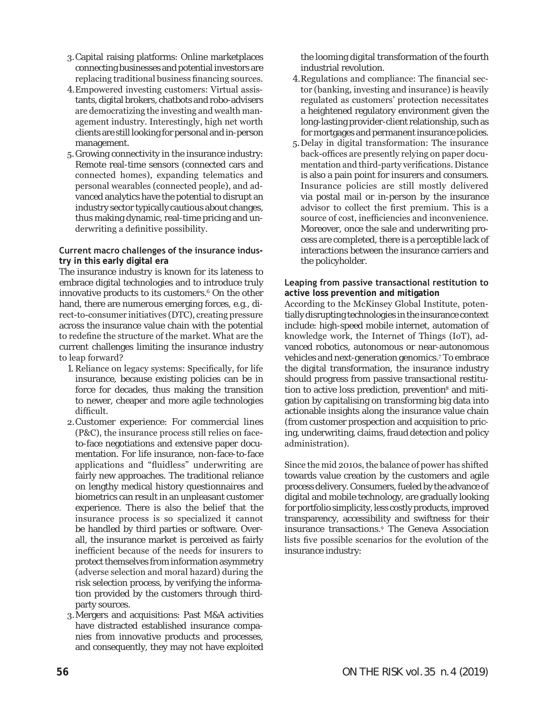- 3.Capital raising platforms: Online marketplaces connecting businesses and potential investors are replacing traditional business financing sources.
- 4.Empowered investing customers: Virtual assistants, digital brokers, chatbots and robo-advisers are democratizing the investing and wealth management industry. Interestingly, high net worth clients are still looking for personal and in-person management.
- 5.Growing connectivity in the insurance industry: Remote real-time sensors (connected cars and connected homes), expanding telematics and personal wearables (connected people), and advanced analytics have the potential to disrupt an industry sector typically cautious about changes, thus making dynamic, real-time pricing and underwriting a definitive possibility.

#### **Current macro challenges of the insurance industry in this early digital era**

The insurance industry is known for its lateness to embrace digital technologies and to introduce truly innovative products to its customers.6 On the other hand, there are numerous emerging forces, e.g., direct-to-consumer initiatives (DTC), creating pressure across the insurance value chain with the potential to redefine the structure of the market. What are the current challenges limiting the insurance industry to leap forward?

- 1. Reliance on legacy systems: Specifically, for life insurance, because existing policies can be in force for decades, thus making the transition to newer, cheaper and more agile technologies difficult.
- 2.Customer experience: For commercial lines (P&C), the insurance process still relies on faceto-face negotiations and extensive paper documentation. For life insurance, non-face-to-face applications and "fluidless" underwriting are fairly new approaches. The traditional reliance on lengthy medical history questionnaires and biometrics can result in an unpleasant customer experience. There is also the belief that the insurance process is so specialized it cannot be handled by third parties or software. Overall, the insurance market is perceived as fairly inefficient because of the needs for insurers to protect themselves from information asymmetry (adverse selection and moral hazard) during the risk selection process, by verifying the information provided by the customers through thirdparty sources.
- 3.Mergers and acquisitions: Past M&A activities have distracted established insurance companies from innovative products and processes, and consequently, they may not have exploited

the looming digital transformation of the fourth industrial revolution.

- 4.Regulations and compliance: The financial sector (banking, investing and insurance) is heavily regulated as customers' protection necessitates a heightened regulatory environment given the long-lasting provider-client relationship, such as for mortgages and permanent insurance policies.
- 5.Delay in digital transformation: The insurance back-offices are presently relying on paper documentation and third-party verifications. Distance is also a pain point for insurers and consumers. Insurance policies are still mostly delivered via postal mail or in-person by the insurance advisor to collect the first premium. This is a source of cost, inefficiencies and inconvenience. Moreover, once the sale and underwriting process are completed, there is a perceptible lack of interactions between the insurance carriers and the policyholder.

#### **Leaping from passive transactional restitution to active loss prevention and mitigation**

According to the McKinsey Global Institute, potentially disrupting technologies in the insurance context include: high-speed mobile internet, automation of knowledge work, the Internet of Things (IoT), advanced robotics, autonomous or near-autonomous vehicles and next-generation genomics.<sup>7</sup> To embrace the digital transformation, the insurance industry should progress from passive transactional restitution to active loss prediction, prevention<sup>8</sup> and mitigation by capitalising on transforming big data into actionable insights along the insurance value chain (from customer prospection and acquisition to pricing, underwriting, claims, fraud detection and policy administration).

Since the mid 2010s, the balance of power has shifted towards value creation by the customers and agile process delivery. Consumers, fueled by the advance of digital and mobile technology, are gradually looking for portfolio simplicity, less costly products, improved transparency, accessibility and swiftness for their insurance transactions.<sup>9</sup> The Geneva Association lists five possible scenarios for the evolution of the insurance industry: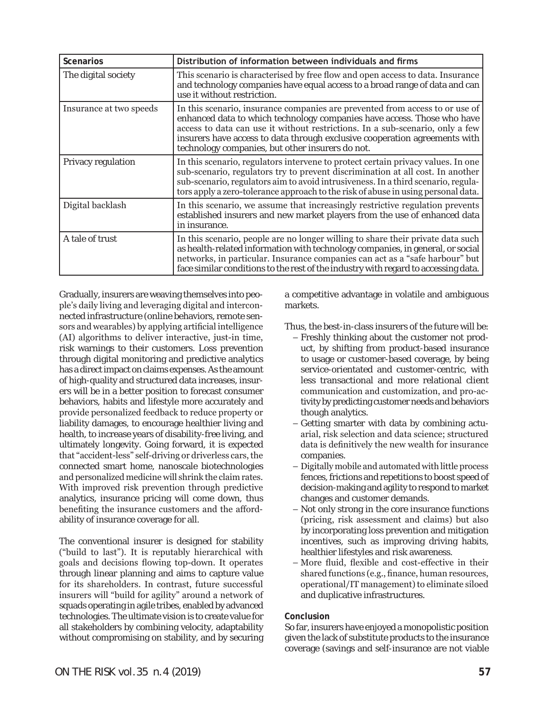| <b>Scenarios</b>        | Distribution of information between individuals and firms                                                                                                                                                                                                                                                                                                                  |
|-------------------------|----------------------------------------------------------------------------------------------------------------------------------------------------------------------------------------------------------------------------------------------------------------------------------------------------------------------------------------------------------------------------|
| The digital society     | This scenario is characterised by free flow and open access to data. Insurance<br>and technology companies have equal access to a broad range of data and can<br>use it without restriction.                                                                                                                                                                               |
| Insurance at two speeds | In this scenario, insurance companies are prevented from access to or use of<br>enhanced data to which technology companies have access. Those who have<br>access to data can use it without restrictions. In a sub-scenario, only a few<br>insurers have access to data through exclusive cooperation agreements with<br>technology companies, but other insurers do not. |
| Privacy regulation      | In this scenario, regulators intervene to protect certain privacy values. In one<br>sub-scenario, regulators try to prevent discrimination at all cost. In another<br>sub-scenario, regulators aim to avoid intrusiveness. In a third scenario, regula-<br>tors apply a zero-tolerance approach to the risk of abuse in using personal data.                               |
| Digital backlash        | In this scenario, we assume that increasingly restrictive regulation prevents<br>established insurers and new market players from the use of enhanced data<br>in insurance.                                                                                                                                                                                                |
| A tale of trust         | In this scenario, people are no longer willing to share their private data such<br>as health-related information with technology companies, in general, or social<br>networks, in particular. Insurance companies can act as a "safe harbour" but<br>face similar conditions to the rest of the industry with regard to accessing data.                                    |

Gradually, insurers are weaving themselves into people's daily living and leveraging digital and interconnected infrastructure (online behaviors, remote sensors and wearables) by applying artificial intelligence (AI) algorithms to deliver interactive, just-in time, risk warnings to their customers. Loss prevention through digital monitoring and predictive analytics has a direct impact on claims expenses. As the amount of high-quality and structured data increases, insurers will be in a better position to forecast consumer behaviors, habits and lifestyle more accurately and provide personalized feedback to reduce property or liability damages, to encourage healthier living and health, to increase years of disability-free living, and ultimately longevity. Going forward, it is expected that "accident-less" self-driving or driverless cars, the connected smart home, nanoscale biotechnologies and personalized medicine will shrink the claim rates. With improved risk prevention through predictive analytics, insurance pricing will come down, thus benefiting the insurance customers and the affordability of insurance coverage for all.

The conventional insurer is designed for stability ("build to last"). It is reputably hierarchical with goals and decisions flowing top-down. It operates through linear planning and aims to capture value for its shareholders. In contrast, future successful insurers will "build for agility" around a network of squads operating in agile tribes, enabled by advanced technologies. The ultimate vision is to create value for all stakeholders by combining velocity, adaptability without compromising on stability, and by securing

a competitive advantage in volatile and ambiguous markets.

Thus, the best-in-class insurers of the future will be:

- Freshly thinking about the customer not product, by shifting from product-based insurance to usage or customer-based coverage, by being service-orientated and customer-centric, with less transactional and more relational client communication and customization, and pro-activity by predicting customer needs and behaviors though analytics.
- Getting smarter with data by combining actuarial, risk selection and data science; structured data is definitively the new wealth for insurance companies.
- Digitally mobile and automated with little process fences, frictions and repetitions to boost speed of decision-making and agility to respond to market changes and customer demands.
- Not only strong in the core insurance functions (pricing, risk assessment and claims) but also by incorporating loss prevention and mitigation incentives, such as improving driving habits, healthier lifestyles and risk awareness.
- More fluid, flexible and cost-effective in their shared functions (e.g., finance, human resources, operational/IT management) to eliminate siloed and duplicative infrastructures.

#### **Conclusion**

So far, insurers have enjoyed a monopolistic position given the lack of substitute products to the insurance coverage (savings and self-insurance are not viable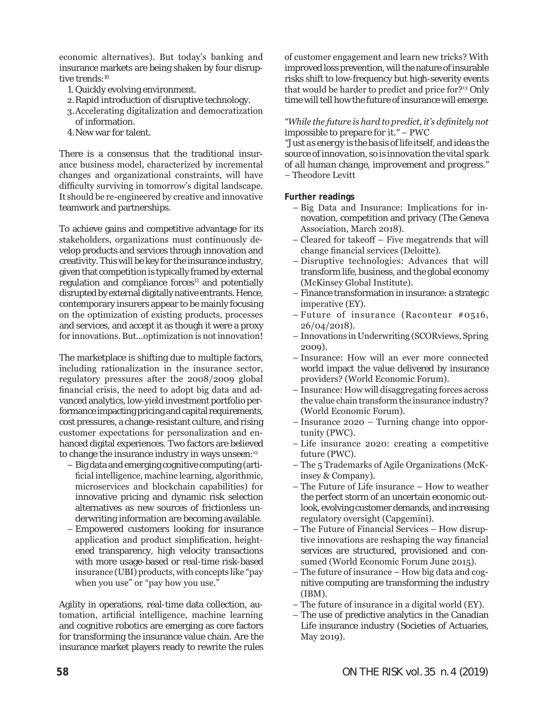economic alternatives). But today's banking and insurance markets are being shaken by four disruptive trends:<sup>10</sup>

- 1. Quickly evolving environment.
- 2.Rapid introduction of disruptive technology.
- 3.Accelerating digitalization and democratization of information.
- 4.New war for talent.

There is a consensus that the traditional insurance business model, characterized by incremental changes and organizational constraints, will have difficulty surviving in tomorrow's digital landscape. It should be re-engineered by creative and innovative teamwork and partnerships.

To achieve gains and competitive advantage for its stakeholders, organizations must continuously develop products and services through innovation and creativity. This will be key for the insurance industry, given that competition is typically framed by external regulation and compliance forces $11$  and potentially disrupted by external digitally native entrants. Hence, contemporary insurers appear to be mainly focusing on the optimization of existing products, processes and services, and accept it as though it were a proxy for innovations. But...optimization is not innovation!

The marketplace is shifting due to multiple factors, including rationalization in the insurance sector, regulatory pressures after the 2008/2009 global financial crisis, the need to adopt big data and advanced analytics, low-yield investment portfolio performance impacting pricing and capital requirements, cost pressures, a change-resistant culture, and rising customer expectations for personalization and enhanced digital experiences. Two factors are believed to change the insurance industry in ways unseen:<sup>12</sup>

- Big data and emerging cognitive computing (artificial intelligence, machine learning, algorithmic, microservices and blockchain capabilities) for innovative pricing and dynamic risk selection alternatives as new sources of frictionless underwriting information are becoming available.
- Empowered customers looking for insurance application and product simplification, heightened transparency, high velocity transactions with more usage-based or real-time risk-based insurance (UBI) products, with concepts like "pay when you use" or "pay how you use."

Agility in operations, real-time data collection, automation, artificial intelligence, machine learning and cognitive robotics are emerging as core factors for transforming the insurance value chain. Are the insurance market players ready to rewrite the rules

of customer engagement and learn new tricks? With improved loss prevention, will the nature of insurable risks shift to low-frequency but high-severity events that would be harder to predict and price for?13 Only time will tell how the future of insurance will emerge.

#### *"While the future is hard to predict, it's definitely not impossible to prepare for it."* – PWC

*"Just as energy is the basis of life itself, and ideas the source of innovation, so is innovation the vital spark of all human change, improvement and progress."* – Theodore Levitt

#### **Further readings**

- Big Data and Insurance: Implications for innovation, competition and privacy (The Geneva Association, March 2018).
- Cleared for takeoff Five megatrends that will change financial services (Deloitte).
- Disruptive technologies: Advances that will transform life, business, and the global economy (McKinsey Global Institute).
- Finance transformation in insurance: a strategic imperative (EY).
- Future of insurance (Raconteur #0516, 26/04/2018).
- Innovations in Underwriting (SCORviews, Spring 2009).
- Insurance: How will an ever more connected world impact the value delivered by insurance providers? (World Economic Forum).
- Insurance: How will disaggregating forces across the value chain transform the insurance industry? (World Economic Forum).
- Insurance 2020 Turning change into opportunity (PWC).
- Life insurance 2020: creating a competitive future (PWC).
- The 5 Trademarks of Agile Organizations (McKinsey & Company).
- The Future of Life insurance How to weather the perfect storm of an uncertain economic outlook, evolving customer demands, and increasing regulatory oversight (Capgemini).
- The Future of Financial Services How disruptive innovations are reshaping the way financial services are structured, provisioned and consumed (World Economic Forum June 2015).
- The future of insurance How big data and cognitive computing are transforming the industry (IBM).
- The future of insurance in a digital world (EY).
- The use of predictive analytics in the Canadian Life insurance industry (Societies of Actuaries, May 2019).